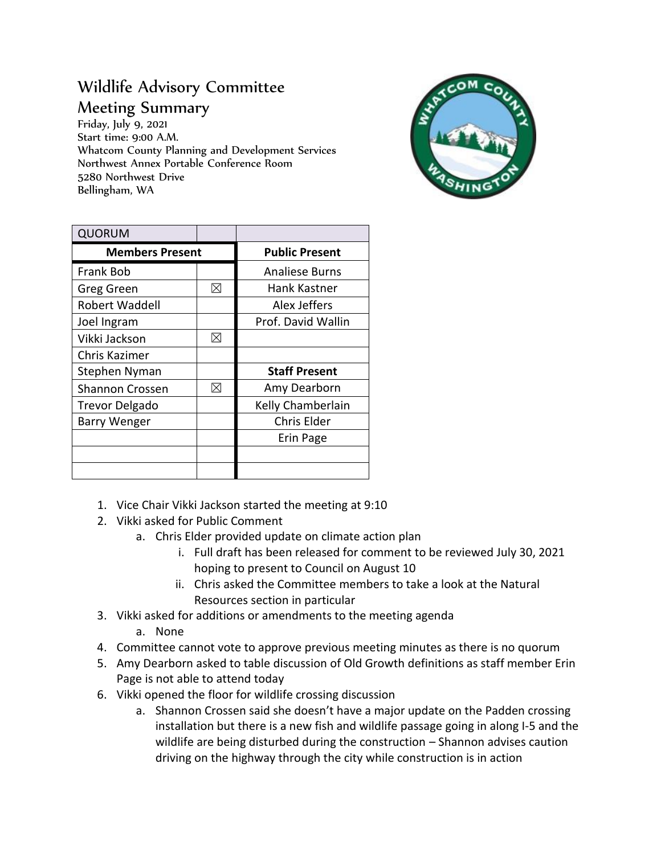## Wildlife Advisory Committee

Meeting Summary

Friday, July 9, 2021 Start time: 9:00 A.M. Whatcom County Planning and Development Services Northwest Annex Portable Conference Room 5280 Northwest Drive Bellingham, WA



| <b>QUORUM</b>          |             |                       |
|------------------------|-------------|-----------------------|
| <b>Members Present</b> |             | <b>Public Present</b> |
| Frank Bob              |             | <b>Analiese Burns</b> |
| Greg Green             | $\boxtimes$ | Hank Kastner          |
| <b>Robert Waddell</b>  |             | Alex Jeffers          |
| Joel Ingram            |             | Prof. David Wallin    |
| Vikki Jackson          | $\boxtimes$ |                       |
| Chris Kazimer          |             |                       |
| Stephen Nyman          |             | <b>Staff Present</b>  |
| <b>Shannon Crossen</b> | ⊠           | Amy Dearborn          |
| <b>Trevor Delgado</b>  |             | Kelly Chamberlain     |
| <b>Barry Wenger</b>    |             | Chris Elder           |
|                        |             | Erin Page             |
|                        |             |                       |
|                        |             |                       |

- 1. Vice Chair Vikki Jackson started the meeting at 9:10
- 2. Vikki asked for Public Comment
	- a. Chris Elder provided update on climate action plan
		- i. Full draft has been released for comment to be reviewed July 30, 2021 hoping to present to Council on August 10
		- ii. Chris asked the Committee members to take a look at the Natural Resources section in particular
- 3. Vikki asked for additions or amendments to the meeting agenda
	- a. None
- 4. Committee cannot vote to approve previous meeting minutes as there is no quorum
- 5. Amy Dearborn asked to table discussion of Old Growth definitions as staff member Erin Page is not able to attend today
- 6. Vikki opened the floor for wildlife crossing discussion
	- a. Shannon Crossen said she doesn't have a major update on the Padden crossing installation but there is a new fish and wildlife passage going in along I-5 and the wildlife are being disturbed during the construction – Shannon advises caution driving on the highway through the city while construction is in action